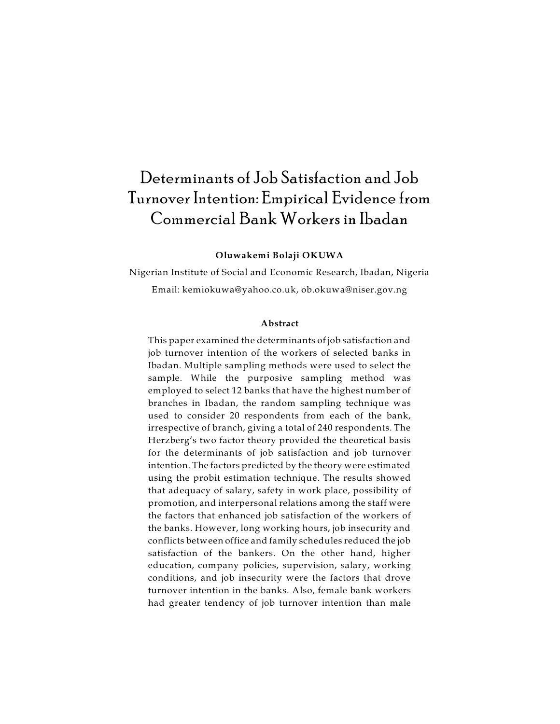# Determinants of Job Satisfaction and Job Turnover Intention: Empirical Evidence from Commercial Bank Workers in Ibadan

# **Oluwakemi Bolaji OKUWA**

Nigerian Institute of Social and Economic Research, Ibadan, Nigeria Email: kemiokuwa@yahoo.co.uk, ob.okuwa@niser.gov.ng

## **Abstract**

This paper examined the determinants of job satisfaction and job turnover intention of the workers of selected banks in Ibadan. Multiple sampling methods were used to select the sample. While the purposive sampling method was employed to select 12 banks that have the highest number of branches in Ibadan, the random sampling technique was used to consider 20 respondents from each of the bank, irrespective of branch, giving a total of 240 respondents. The Herzberg's two factor theory provided the theoretical basis for the determinants of job satisfaction and job turnover intention. The factors predicted by the theory were estimated using the probit estimation technique. The results showed that adequacy of salary, safety in work place, possibility of promotion, and interpersonal relations among the staff were the factors that enhanced job satisfaction of the workers of the banks. However, long working hours, job insecurity and conflicts between office and family schedules reduced the job satisfaction of the bankers. On the other hand, higher education, company policies, supervision, salary, working conditions, and job insecurity were the factors that drove turnover intention in the banks. Also, female bank workers had greater tendency of job turnover intention than male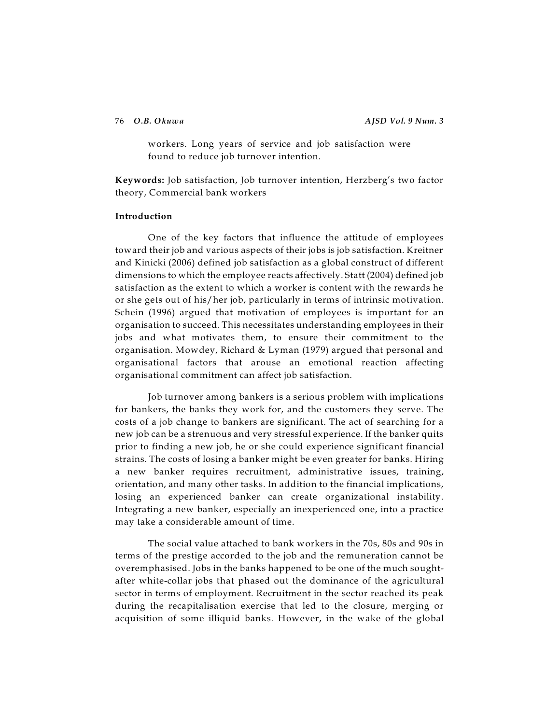76 *O.B. Okuwa AJSD Vol. 9 Num. 3*

workers. Long years of service and job satisfaction were found to reduce job turnover intention.

**Keywords:** Job satisfaction, Job turnover intention, Herzberg's two factor theory, Commercial bank workers

# **Introduction**

One of the key factors that influence the attitude of employees toward their job and various aspects of their jobs is job satisfaction. Kreitner and Kinicki (2006) defined job satisfaction as a global construct of different dimensions to which the employee reacts affectively. Statt (2004) defined job satisfaction as the extent to which a worker is content with the rewards he or she gets out of his/her job, particularly in terms of intrinsic motivation. Schein (1996) argued that motivation of employees is important for an organisation to succeed. This necessitates understanding employees in their jobs and what motivates them, to ensure their commitment to the organisation. Mowdey, Richard & Lyman (1979) argued that personal and organisational factors that arouse an emotional reaction affecting organisational commitment can affect job satisfaction.

Job turnover among bankers is a serious problem with implications for bankers, the banks they work for, and the customers they serve. The costs of a job change to bankers are significant. The act of searching for a new job can be a strenuous and very stressful experience. If the banker quits prior to finding a new job, he or she could experience significant financial strains. The costs of losing a banker might be even greater for banks. Hiring a new banker requires recruitment, administrative issues, training, orientation, and many other tasks. In addition to the financial implications, losing an experienced banker can create organizational instability. Integrating a new banker, especially an inexperienced one, into a practice may take a considerable amount of time.

The social value attached to bank workers in the 70s, 80s and 90s in terms of the prestige accorded to the job and the remuneration cannot be overemphasised. Jobs in the banks happened to be one of the much soughtafter white-collar jobs that phased out the dominance of the agricultural sector in terms of employment. Recruitment in the sector reached its peak during the recapitalisation exercise that led to the closure, merging or acquisition of some illiquid banks. However, in the wake of the global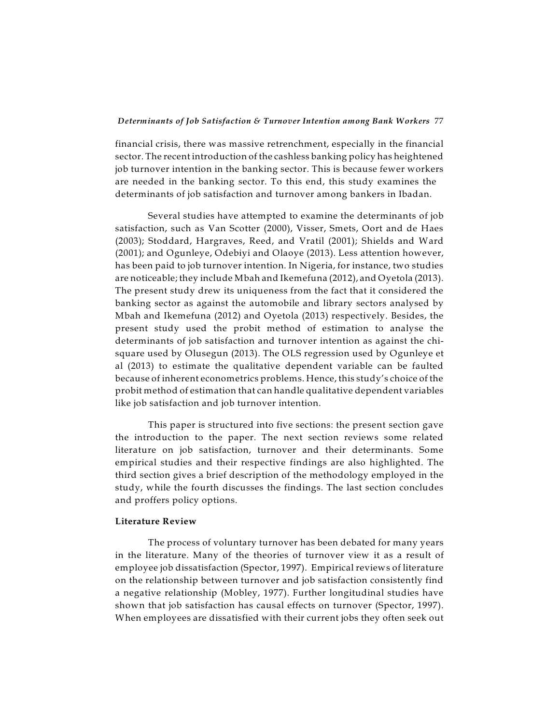financial crisis, there was massive retrenchment, especially in the financial sector. The recent introduction of the cashless banking policy has heightened job turnover intention in the banking sector. This is because fewer workers are needed in the banking sector. To this end, this study examines the determinants of job satisfaction and turnover among bankers in Ibadan.

Several studies have attempted to examine the determinants of job satisfaction, such as Van Scotter (2000), Visser, Smets, Oort and de Haes (2003); Stoddard, Hargraves, Reed, and Vratil (2001); Shields and Ward (2001); and Ogunleye, Odebiyi and Olaoye (2013). Less attention however, has been paid to job turnover intention. In Nigeria, for instance, two studies are noticeable; they include Mbah and Ikemefuna (2012), and Oyetola (2013). The present study drew its uniqueness from the fact that it considered the banking sector as against the automobile and library sectors analysed by Mbah and Ikemefuna (2012) and Oyetola (2013) respectively. Besides, the present study used the probit method of estimation to analyse the determinants of job satisfaction and turnover intention as against the chisquare used by Olusegun (2013). The OLS regression used by Ogunleye et al (2013) to estimate the qualitative dependent variable can be faulted because of inherent econometrics problems. Hence, this study's choice of the probit method of estimation that can handle qualitative dependent variables like job satisfaction and job turnover intention.

This paper is structured into five sections: the present section gave the introduction to the paper. The next section reviews some related literature on job satisfaction, turnover and their determinants. Some empirical studies and their respective findings are also highlighted. The third section gives a brief description of the methodology employed in the study, while the fourth discusses the findings. The last section concludes and proffers policy options.

### **Literature Review**

The process of voluntary turnover has been debated for many years in the literature. Many of the theories of turnover view it as a result of employee job dissatisfaction (Spector, 1997). Empirical reviews of literature on the relationship between turnover and job satisfaction consistently find a negative relationship (Mobley, 1977). Further longitudinal studies have shown that job satisfaction has causal effects on turnover (Spector, 1997). When employees are dissatisfied with their current jobs they often seek out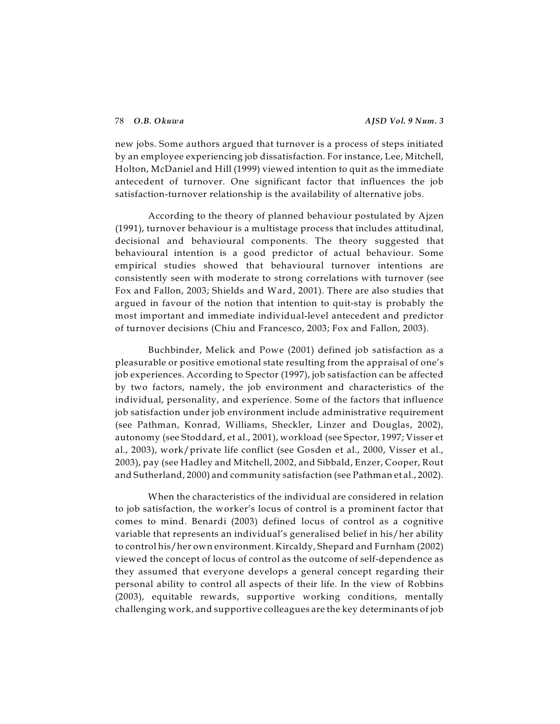new jobs. Some authors argued that turnover is a process of steps initiated by an employee experiencing job dissatisfaction. For instance, Lee, Mitchell, Holton, McDaniel and Hill (1999) viewed intention to quit as the immediate antecedent of turnover. One significant factor that influences the job satisfaction-turnover relationship is the availability of alternative jobs.

According to the theory of planned behaviour postulated by Ajzen (1991), turnover behaviour is a multistage process that includes attitudinal, decisional and behavioural components. The theory suggested that behavioural intention is a good predictor of actual behaviour. Some empirical studies showed that behavioural turnover intentions are consistently seen with moderate to strong correlations with turnover (see Fox and Fallon, 2003; Shields and Ward, 2001). There are also studies that argued in favour of the notion that intention to quit-stay is probably the most important and immediate individual-level antecedent and predictor of turnover decisions (Chiu and Francesco, 2003; Fox and Fallon, 2003).

Buchbinder, Melick and Powe (2001) defined job satisfaction as a pleasurable or positive emotional state resulting from the appraisal of one's job experiences. According to Spector (1997), job satisfaction can be affected by two factors, namely, the job environment and characteristics of the individual, personality, and experience. Some of the factors that influence job satisfaction under job environment include administrative requirement (see Pathman, Konrad, Williams, Sheckler, Linzer and Douglas, 2002), autonomy (see Stoddard, et al., 2001), workload (see Spector, 1997; Visser et al., 2003), work/private life conflict (see Gosden et al., 2000, Visser et al., 2003), pay (see Hadley and Mitchell, 2002, and Sibbald, Enzer, Cooper, Rout and Sutherland, 2000) and community satisfaction (see Pathman et al., 2002).

When the characteristics of the individual are considered in relation to job satisfaction, the worker's locus of control is a prominent factor that comes to mind. Benardi (2003) defined locus of control as a cognitive variable that represents an individual's generalised belief in his/her ability to control his/her own environment. Kircaldy, Shepard and Furnham (2002) viewed the concept of locus of control as the outcome of self-dependence as they assumed that everyone develops a general concept regarding their personal ability to control all aspects of their life. In the view of Robbins (2003), equitable rewards, supportive working conditions, mentally challenging work, and supportive colleagues are the key determinants of job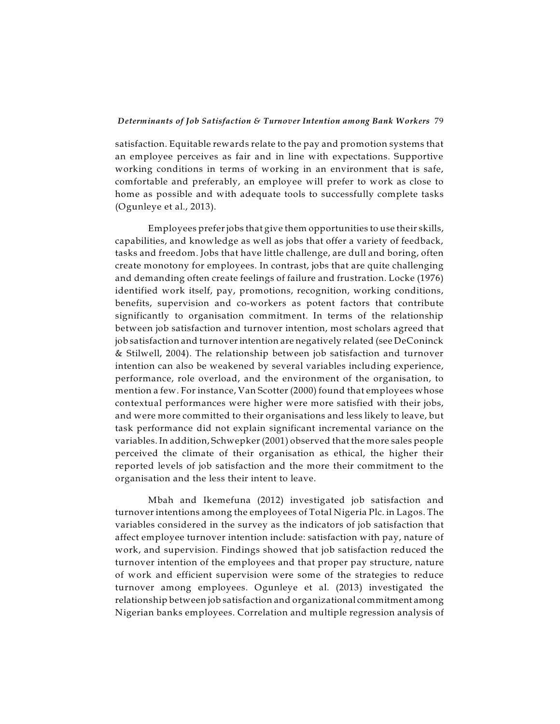satisfaction. Equitable rewards relate to the pay and promotion systems that an employee perceives as fair and in line with expectations. Supportive working conditions in terms of working in an environment that is safe, comfortable and preferably, an employee will prefer to work as close to home as possible and with adequate tools to successfully complete tasks (Ogunleye et al., 2013).

Employees preferjobs that give them opportunities to use their skills, capabilities, and knowledge as well as jobs that offer a variety of feedback, tasks and freedom. Jobs that have little challenge, are dull and boring, often create monotony for employees. In contrast, jobs that are quite challenging and demanding often create feelings of failure and frustration. Locke (1976) identified work itself, pay, promotions, recognition, working conditions, benefits, supervision and co-workers as potent factors that contribute significantly to organisation commitment. In terms of the relationship between job satisfaction and turnover intention, most scholars agreed that job satisfaction and turnoverintention are negatively related (see DeConinck & Stilwell, 2004). The relationship between job satisfaction and turnover intention can also be weakened by several variables including experience, performance, role overload, and the environment of the organisation, to mention a few. For instance, Van Scotter (2000) found that employees whose contextual performances were higher were more satisfied with their jobs, and were more committed to their organisations and less likely to leave, but task performance did not explain significant incremental variance on the variables. In addition, Schwepker (2001) observed that the more sales people perceived the climate of their organisation as ethical, the higher their reported levels of job satisfaction and the more their commitment to the organisation and the less their intent to leave.

Mbah and Ikemefuna (2012) investigated job satisfaction and turnover intentions among the employees of Total Nigeria Plc. in Lagos. The variables considered in the survey as the indicators of job satisfaction that affect employee turnover intention include: satisfaction with pay, nature of work, and supervision. Findings showed that job satisfaction reduced the turnover intention of the employees and that proper pay structure, nature of work and efficient supervision were some of the strategies to reduce turnover among employees. Ogunleye et al. (2013) investigated the relationship between job satisfaction and organizational commitment among Nigerian banks employees. Correlation and multiple regression analysis of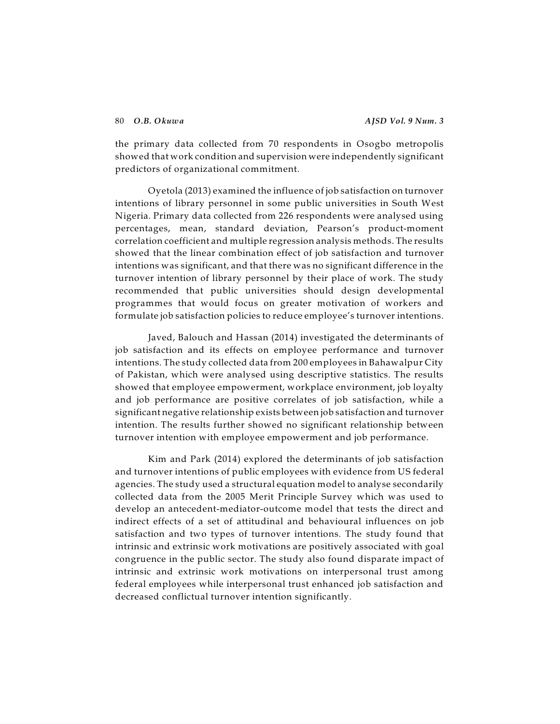the primary data collected from 70 respondents in Osogbo metropolis showed that work condition and supervision were independently significant predictors of organizational commitment.

Oyetola (2013) examined the influence of job satisfaction on turnover intentions of library personnel in some public universities in South West Nigeria. Primary data collected from 226 respondents were analysed using percentages, mean, standard deviation, Pearson's product-moment correlation coefficient and multiple regression analysis methods. The results showed that the linear combination effect of job satisfaction and turnover intentions was significant, and that there was no significant difference in the turnover intention of library personnel by their place of work. The study recommended that public universities should design developmental programmes that would focus on greater motivation of workers and formulate job satisfaction policies to reduce employee's turnover intentions.

Javed, Balouch and Hassan (2014) investigated the determinants of job satisfaction and its effects on employee performance and turnover intentions. The study collected data from 200 employees in Bahawalpur City of Pakistan, which were analysed using descriptive statistics. The results showed that employee empowerment, workplace environment, job loyalty and job performance are positive correlates of job satisfaction, while a significant negative relationship exists between job satisfaction and turnover intention. The results further showed no significant relationship between turnover intention with employee empowerment and job performance.

Kim and Park (2014) explored the determinants of job satisfaction and turnover intentions of public employees with evidence from US federal agencies. The study used a structural equation model to analyse secondarily collected data from the 2005 Merit Principle Survey which was used to develop an antecedent-mediator-outcome model that tests the direct and indirect effects of a set of attitudinal and behavioural influences on job satisfaction and two types of turnover intentions. The study found that intrinsic and extrinsic work motivations are positively associated with goal congruence in the public sector. The study also found disparate impact of intrinsic and extrinsic work motivations on interpersonal trust among federal employees while interpersonal trust enhanced job satisfaction and decreased conflictual turnover intention significantly.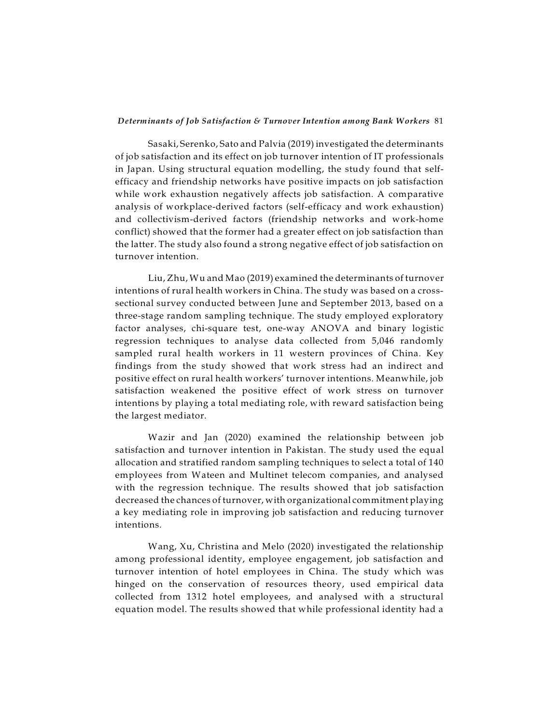Sasaki, Serenko, Sato and Palvia (2019) investigated the determinants of job satisfaction and its effect on job turnover intention of IT professionals in Japan. Using structural equation modelling, the study found that selfefficacy and friendship networks have positive impacts on job satisfaction while work exhaustion negatively affects job satisfaction. A comparative analysis of workplace-derived factors (self-efficacy and work exhaustion) and collectivism-derived factors (friendship networks and work-home conflict) showed that the former had a greater effect on job satisfaction than the latter. The study also found a strong negative effect of job satisfaction on turnover intention.

Liu, Zhu, Wu and Mao (2019) examined the determinants of turnover intentions of rural health workers in China. The study was based on a crosssectional survey conducted between June and September 2013, based on a three-stage random sampling technique. The study employed exploratory factor analyses, chi-square test, one-way ANOVA and binary logistic regression techniques to analyse data collected from 5,046 randomly sampled rural health workers in 11 western provinces of China. Key findings from the study showed that work stress had an indirect and positive effect on rural health workers' turnover intentions. Meanwhile, job satisfaction weakened the positive effect of work stress on turnover intentions by playing a total mediating role, with reward satisfaction being the largest mediator.

Wazir and Jan (2020) examined the relationship between job satisfaction and turnover intention in Pakistan. The study used the equal allocation and stratified random sampling techniques to select a total of 140 employees from Wateen and Multinet telecom companies, and analysed with the regression technique. The results showed that job satisfaction decreased the chances of turnover, with organizational commitment playing a key mediating role in improving job satisfaction and reducing turnover intentions.

Wang, Xu, Christina and Melo (2020) investigated the relationship among professional identity, employee engagement, job satisfaction and turnover intention of hotel employees in China. The study which was hinged on the conservation of resources theory, used empirical data collected from 1312 hotel employees, and analysed with a structural equation model. The results showed that while professional identity had a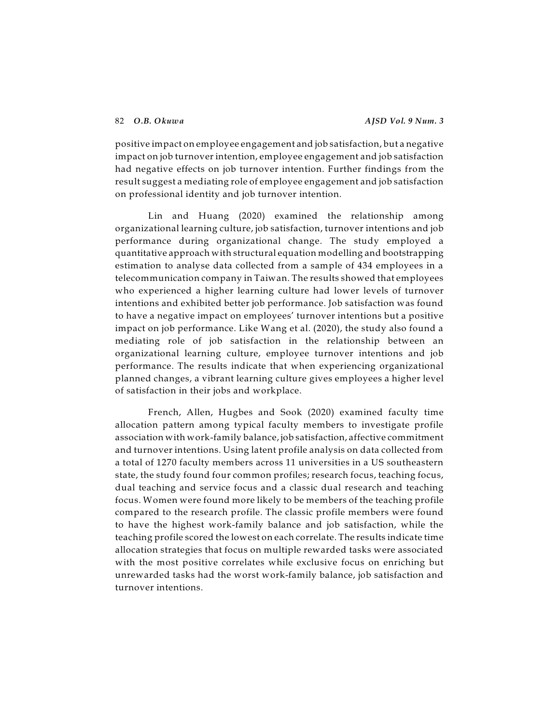positive impact on employee engagement and job satisfaction, but a negative impact on job turnover intention, employee engagement and job satisfaction had negative effects on job turnover intention. Further findings from the result suggest a mediating role of employee engagement and job satisfaction on professional identity and job turnover intention.

Lin and Huang (2020) examined the relationship among organizational learning culture, job satisfaction, turnover intentions and job performance during organizational change. The study employed a quantitative approach with structural equation modelling and bootstrapping estimation to analyse data collected from a sample of 434 employees in a telecommunication company in Taiwan. The results showed that employees who experienced a higher learning culture had lower levels of turnover intentions and exhibited better job performance. Job satisfaction was found to have a negative impact on employees' turnover intentions but a positive impact on job performance. Like Wang et al. (2020), the study also found a mediating role of job satisfaction in the relationship between an organizational learning culture, employee turnover intentions and job performance. The results indicate that when experiencing organizational planned changes, a vibrant learning culture gives employees a higher level of satisfaction in their jobs and workplace.

French, Allen, Hugbes and Sook (2020) examined faculty time allocation pattern among typical faculty members to investigate profile association with work-family balance, job satisfaction, affective commitment and turnover intentions. Using latent profile analysis on data collected from a total of 1270 faculty members across 11 universities in a US southeastern state, the study found four common profiles; research focus, teaching focus, dual teaching and service focus and a classic dual research and teaching focus. Women were found more likely to be members of the teaching profile compared to the research profile. The classic profile members were found to have the highest work-family balance and job satisfaction, while the teaching profile scored the lowest on each correlate. The results indicate time allocation strategies that focus on multiple rewarded tasks were associated with the most positive correlates while exclusive focus on enriching but unrewarded tasks had the worst work-family balance, job satisfaction and turnover intentions.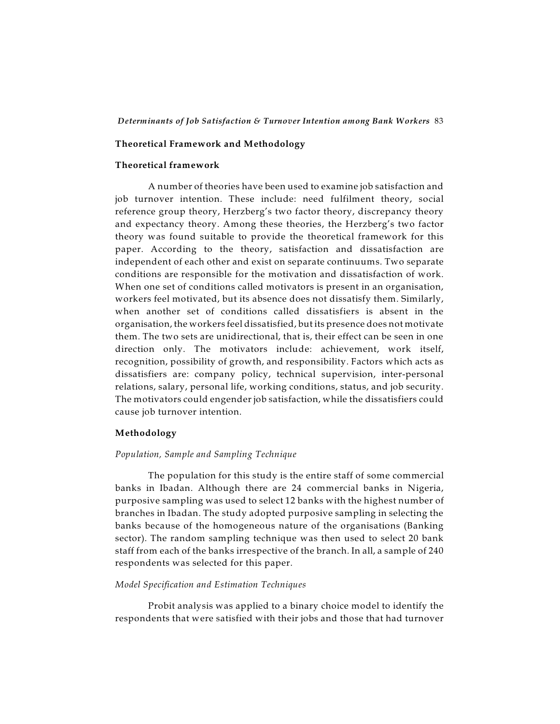# **Theoretical Framework and Methodology**

# **Theoretical framework**

A number of theories have been used to examine job satisfaction and job turnover intention. These include: need fulfilment theory, social reference group theory, Herzberg's two factor theory, discrepancy theory and expectancy theory. Among these theories, the Herzberg's two factor theory was found suitable to provide the theoretical framework for this paper. According to the theory, satisfaction and dissatisfaction are independent of each other and exist on separate continuums. Two separate conditions are responsible for the motivation and dissatisfaction of work. When one set of conditions called motivators is present in an organisation, workers feel motivated, but its absence does not dissatisfy them. Similarly, when another set of conditions called dissatisfiers is absent in the organisation, the workers feel dissatisfied, but its presence does not motivate them. The two sets are unidirectional, that is, their effect can be seen in one direction only. The motivators include: achievement, work itself, recognition, possibility of growth, and responsibility. Factors which acts as dissatisfiers are: company policy, technical supervision, inter-personal relations, salary, personal life, working conditions, status, and job security. The motivators could engender job satisfaction, while the dissatisfiers could cause job turnover intention.

# **Methodology**

### *Population, Sample and Sampling Technique*

The population for this study is the entire staff of some commercial banks in Ibadan. Although there are 24 commercial banks in Nigeria, purposive sampling was used to select 12 banks with the highest number of branches in Ibadan. The study adopted purposive sampling in selecting the banks because of the homogeneous nature of the organisations (Banking sector). The random sampling technique was then used to select 20 bank staff from each of the banks irrespective of the branch. In all, a sample of 240 respondents was selected for this paper.

# *Model Specification and Estimation Techniques*

Probit analysis was applied to a binary choice model to identify the respondents that were satisfied with their jobs and those that had turnover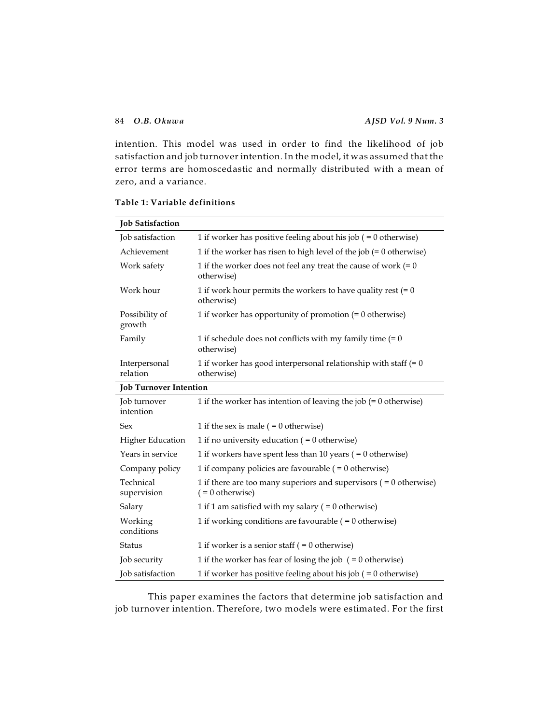intention. This model was used in order to find the likelihood of job satisfaction and job turnover intention. In the model, it was assumed that the error terms are homoscedastic and normally distributed with a mean of zero, and a variance.

| <b>Job Satisfaction</b>       |                                                                                            |  |  |  |
|-------------------------------|--------------------------------------------------------------------------------------------|--|--|--|
| Job satisfaction              | 1 if worker has positive feeling about his job $( = 0$ otherwise)                          |  |  |  |
| Achievement                   | 1 if the worker has risen to high level of the job $(= 0 \text{ otherwise})$               |  |  |  |
| Work safety                   | 1 if the worker does not feel any treat the cause of work $(= 0)$<br>otherwise)            |  |  |  |
| Work hour                     | 1 if work hour permits the workers to have quality rest $(= 0)$<br>otherwise)              |  |  |  |
| Possibility of<br>growth      | 1 if worker has opportunity of promotion $(= 0$ otherwise)                                 |  |  |  |
| Family                        | 1 if schedule does not conflicts with my family time $(= 0)$<br>otherwise)                 |  |  |  |
| Interpersonal<br>relation     | 1 if worker has good interpersonal relationship with staff $(= 0)$<br>otherwise)           |  |  |  |
| <b>Job Turnover Intention</b> |                                                                                            |  |  |  |
| Job turnover<br>intention     | 1 if the worker has intention of leaving the job $(= 0 \text{ otherwise})$                 |  |  |  |
| <b>Sex</b>                    | 1 if the sex is male $( = 0$ otherwise)                                                    |  |  |  |
| <b>Higher Education</b>       | 1 if no university education ( $= 0$ otherwise)                                            |  |  |  |
| Years in service              | 1 if workers have spent less than 10 years ( $= 0$ otherwise)                              |  |  |  |
| Company policy                | 1 if company policies are favourable $( = 0$ otherwise)                                    |  |  |  |
| Technical<br>supervision      | 1 if there are too many superiors and supervisors $( = 0$ otherwise)<br>$( = 0$ otherwise) |  |  |  |
| Salary                        | 1 if 1 am satisfied with my salary ( $= 0$ otherwise)                                      |  |  |  |
| Working<br>conditions         | 1 if working conditions are favourable $( = 0$ otherwise)                                  |  |  |  |
| <b>Status</b>                 | 1 if worker is a senior staff $( = 0$ otherwise)                                           |  |  |  |
| Job security                  | 1 if the worker has fear of losing the job $( = 0$ otherwise)                              |  |  |  |
| <b>Job</b> satisfaction       | 1 if worker has positive feeling about his job $( = 0$ otherwise)                          |  |  |  |

# **Table 1: Variable definitions**

This paper examines the factors that determine job satisfaction and job turnover intention. Therefore, two models were estimated. For the first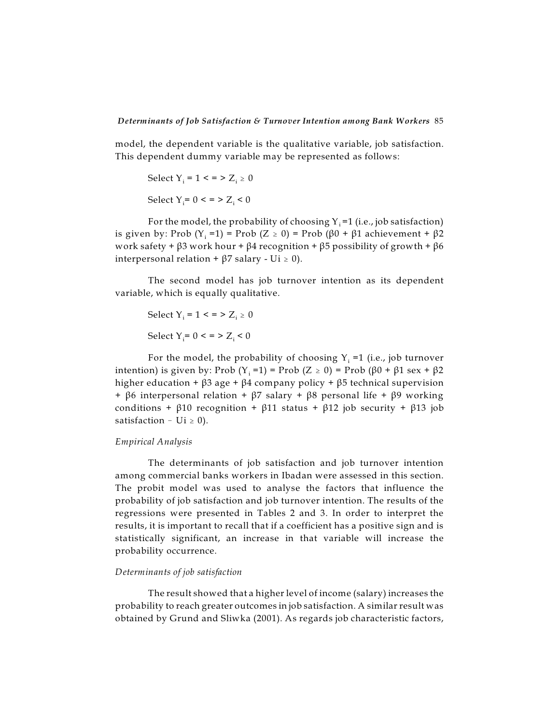model, the dependent variable is the qualitative variable, job satisfaction. This dependent dummy variable may be represented as follows:

```
Select Y<sub>i</sub> = 1 < = > Z<sub>i</sub> \geq 0Select Y<sub>i</sub>= 0 < = > Z<sub>i</sub> < 0
```
For the model, the probability of choosing Y  $_{\rm i}$  =1 (i.e., job satisfaction) is given by: Prob (Y<sub>i</sub> =1) = Prob (Z ≥ 0) = Prob (β0 + β1 achievement + β2 work safety +  $\beta$ 3 work hour +  $\beta$ 4 recognition +  $\beta$ 5 possibility of growth +  $\beta$ 6 interpersonal relation +  $\beta$ 7 salary - Ui  $\geq$  0).

The second model has job turnover intention as its dependent variable, which is equally qualitative.

$$
Select Y_i = 1 < = > Z_i \ge 0
$$
\n
$$
Select Y_i = 0 < = > Z_i < 0
$$

For the model, the probability of choosing Y $_{\rm i}$  =1 (i.e., job turnover intention) is given by: Prob (Y<sub>i</sub> =1) = Prob (Z ≥ 0) = Prob (β0 + β1 sex + β2 higher education +  $\beta$ 3 age +  $\beta$ 4 company policy +  $\beta$ 5 technical supervision +  $\beta$ 6 interpersonal relation +  $\beta$ 7 salary +  $\beta$ 8 personal life +  $\beta$ 9 working conditions +  $\beta$ 10 recognition +  $\beta$ 11 status +  $\beta$ 12 job security +  $\beta$ 13 job satisfaction  $-$  Ui  $\geq$  0).

# *Empirical Analysis*

The determinants of job satisfaction and job turnover intention among commercial banks workers in Ibadan were assessed in this section. The probit model was used to analyse the factors that influence the probability of job satisfaction and job turnover intention. The results of the regressions were presented in Tables 2 and 3. In order to interpret the results, it is important to recall that if a coefficient has a positive sign and is statistically significant, an increase in that variable will increase the probability occurrence.

# *Determinants of job satisfaction*

The result showed that a higher level of income (salary) increases the probability to reach greater outcomes in job satisfaction. A similar result was obtained by Grund and Sliwka (2001). As regards job characteristic factors,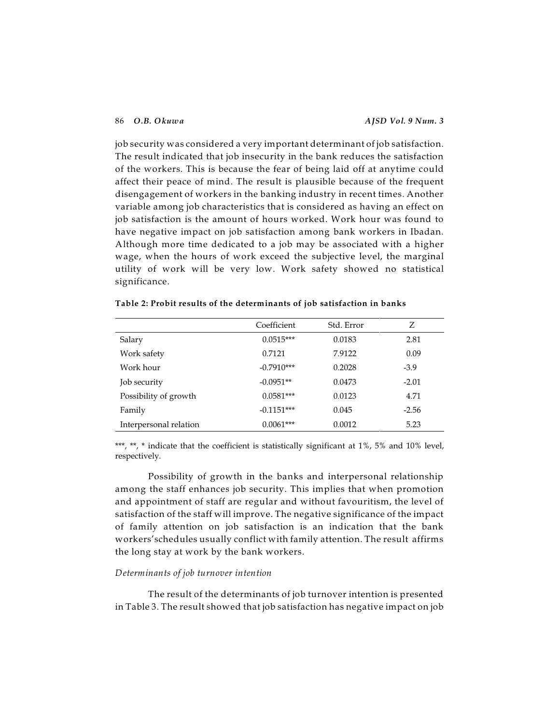job security was considered a very important determinant of job satisfaction. The result indicated that job insecurity in the bank reduces the satisfaction of the workers. This is because the fear of being laid off at anytime could affect their peace of mind. The result is plausible because of the frequent disengagement of workers in the banking industry in recent times. Another variable among job characteristics that is considered as having an effect on job satisfaction is the amount of hours worked. Work hour was found to have negative impact on job satisfaction among bank workers in Ibadan. Although more time dedicated to a job may be associated with a higher wage, when the hours of work exceed the subjective level, the marginal utility of work will be very low. Work safety showed no statistical significance.

|                        | Coefficient  | Std. Error | Z       |
|------------------------|--------------|------------|---------|
| Salary                 | $0.0515***$  | 0.0183     | 2.81    |
| Work safety            | 0.7121       | 7.9122     | 0.09    |
| Work hour              | $-0.7910***$ | 0.2028     | $-3.9$  |
| Job security           | $-0.0951**$  | 0.0473     | $-2.01$ |
| Possibility of growth  | $0.0581***$  | 0.0123     | 4.71    |
| Family                 | $-0.1151***$ | 0.045      | $-2.56$ |
| Interpersonal relation | $0.0061***$  | 0.0012     | 5.23    |

**Table 2: Probit results of the determinants of job satisfaction in banks**

\*\*\*, \*\*, \* indicate that the coefficient is statistically significant at 1%, 5% and 10% level, respectively.

Possibility of growth in the banks and interpersonal relationship among the staff enhances job security. This implies that when promotion and appointment of staff are regular and without favouritism, the level of satisfaction of the staff will improve. The negative significance of the impact of family attention on job satisfaction is an indication that the bank workers'schedules usually conflict with family attention. The result affirms the long stay at work by the bank workers.

# *Determinants of job turnover intention*

The result of the determinants of job turnover intention is presented in Table 3. The result showed that job satisfaction has negative impact on job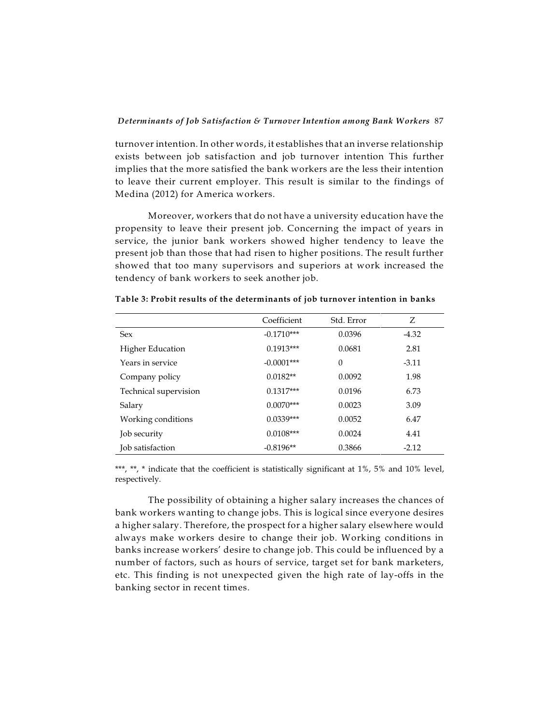turnover intention. In other words, it establishes that an inverse relationship exists between job satisfaction and job turnover intention This further implies that the more satisfied the bank workers are the less their intention to leave their current employer. This result is similar to the findings of Medina (2012) for America workers.

Moreover, workers that do not have a university education have the propensity to leave their present job. Concerning the impact of years in service, the junior bank workers showed higher tendency to leave the present job than those that had risen to higher positions. The result further showed that too many supervisors and superiors at work increased the tendency of bank workers to seek another job.

|                         | Coefficient  | Std. Error | Z       |
|-------------------------|--------------|------------|---------|
| <b>Sex</b>              | $-0.1710***$ | 0.0396     | $-4.32$ |
| <b>Higher Education</b> | $0.1913***$  | 0.0681     | 2.81    |
| Years in service        | $-0.0001***$ | $\Omega$   | $-3.11$ |
| Company policy          | $0.0182**$   | 0.0092     | 1.98    |
| Technical supervision   | $0.1317***$  | 0.0196     | 6.73    |
| Salary                  | $0.0070***$  | 0.0023     | 3.09    |
| Working conditions      | $0.0339***$  | 0.0052     | 6.47    |
| Job security            | $0.0108***$  | 0.0024     | 4.41    |
| Job satisfaction        | $-0.8196**$  | 0.3866     | $-2.12$ |

**Table 3: Probit results of the determinants of job turnover intention in banks**

\*\*\*, \*\*, \* indicate that the coefficient is statistically significant at 1%, 5% and 10% level, respectively.

The possibility of obtaining a higher salary increases the chances of bank workers wanting to change jobs. This is logical since everyone desires a higher salary. Therefore, the prospect for a higher salary elsewhere would always make workers desire to change their job. Working conditions in banks increase workers' desire to change job. This could be influenced by a number of factors, such as hours of service, target set for bank marketers, etc. This finding is not unexpected given the high rate of lay-offs in the banking sector in recent times.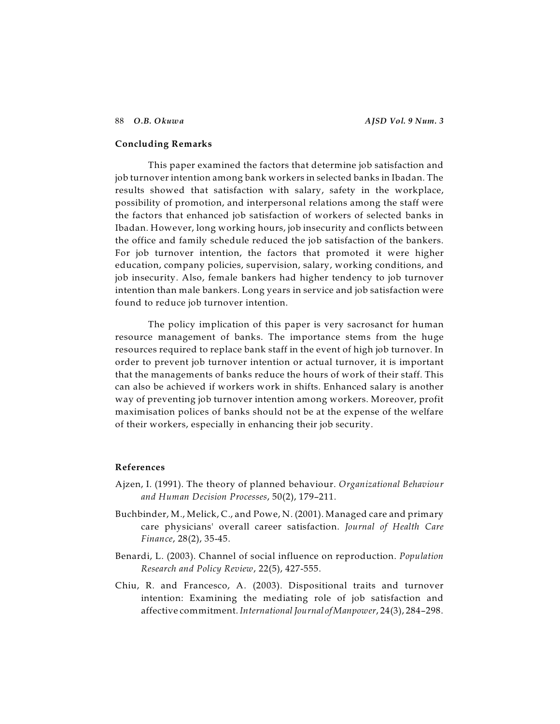#### **Concluding Remarks**

This paper examined the factors that determine job satisfaction and job turnover intention among bank workers in selected banks in Ibadan. The results showed that satisfaction with salary, safety in the workplace, possibility of promotion, and interpersonal relations among the staff were the factors that enhanced job satisfaction of workers of selected banks in Ibadan. However, long working hours, job insecurity and conflicts between the office and family schedule reduced the job satisfaction of the bankers. For job turnover intention, the factors that promoted it were higher education, company policies, supervision, salary, working conditions, and job insecurity. Also, female bankers had higher tendency to job turnover intention than male bankers. Long years in service and job satisfaction were found to reduce job turnover intention.

The policy implication of this paper is very sacrosanct for human resource management of banks. The importance stems from the huge resources required to replace bank staff in the event of high job turnover. In order to prevent job turnover intention or actual turnover, it is important that the managements of banks reduce the hours of work of their staff. This can also be achieved if workers work in shifts. Enhanced salary is another way of preventing job turnover intention among workers. Moreover, profit maximisation polices of banks should not be at the expense of the welfare of their workers, especially in enhancing their job security.

# **References**

- Ajzen, I. (1991). The theory of planned behaviour. *Organizational Behaviour and Human Decision Processes*, 50(2), 179–211.
- Buchbinder, M., Melick, C., and Powe, N. (2001). Managed care and primary care physicians' overall career satisfaction. *Journal of Health Care Finance*, 28(2), 35-45.
- Benardi, L. (2003). Channel of social influence on reproduction. *Population Research and Policy Review*, 22(5), 427-555.
- Chiu, R. and Francesco, A. (2003). Dispositional traits and turnover intention: Examining the mediating role of job satisfaction and affective commitment. *International Journal ofManpower*, 24(3), 284–298.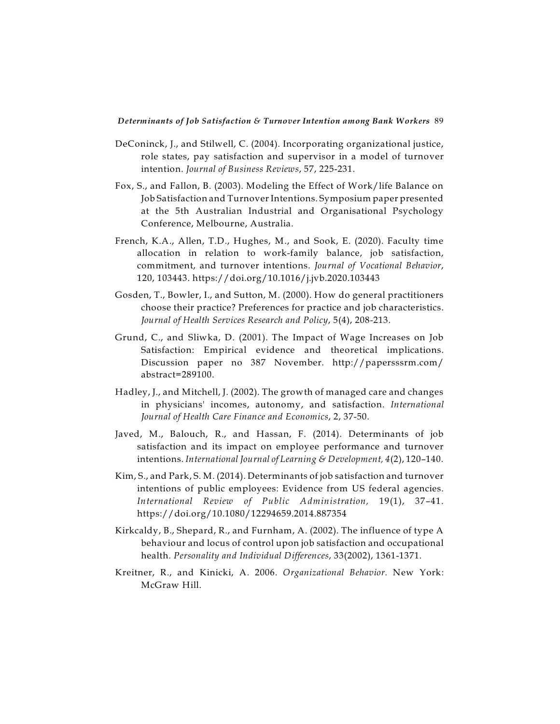- DeConinck, J., and Stilwell, C. (2004). Incorporating organizational justice, role states, pay satisfaction and supervisor in a model of turnover intention. *Journal of Business Reviews*, 57, 225-231.
- Fox, S., and Fallon, B. (2003). Modeling the Effect of Work/life Balance on Job Satisfaction and Turnover Intentions. Symposium paper presented at the 5th Australian Industrial and Organisational Psychology Conference, Melbourne, Australia.
- French, K.A., Allen, T.D., Hughes, M., and Sook, E. (2020). Faculty time allocation in relation to work-family balance, job satisfaction, commitment, and turnover intentions. *Journal of Vocational Behavior*, 120, 103443. https://doi.org/10.1016/j.jvb.2020.103443
- Gosden, T., Bowler, I., and Sutton, M. (2000). How do general practitioners choose their practice? Preferences for practice and job characteristics. *Journal of Health Services Research and Policy*, 5(4), 208-213.
- Grund, C., and Sliwka, D. (2001). The Impact of Wage Increases on Job Satisfaction: Empirical evidence and theoretical implications. Discussion paper no 387 November. http://papersssrm.com/ abstract=289100.
- Hadley, J., and Mitchell, J. (2002). The growth of managed care and changes in physicians' incomes, autonomy, and satisfaction. *International Journal of Health Care Finance and Economics*, 2, 37-50.
- Javed, M., Balouch, R., and Hassan, F. (2014). Determinants of job satisfaction and its impact on employee performance and turnover intentions. *International Journal of Learning & Development, 4*(2), 120–140.
- Kim, S., and Park, S. M. (2014). Determinants of job satisfaction and turnover intentions of public employees: Evidence from US federal agencies. *International Review of Public Administration,* 19(1), 37–41. https://doi.org/10.1080/12294659.2014.887354
- Kirkcaldy, B., Shepard, R., and Furnham, A. (2002). The influence of type A behaviour and locus of control upon job satisfaction and occupational health. *Personality and Individual Differences*, 33(2002), 1361-1371.
- Kreitner, R., and Kinicki, A. 2006. *Organizational Behavior*. New York: McGraw Hill.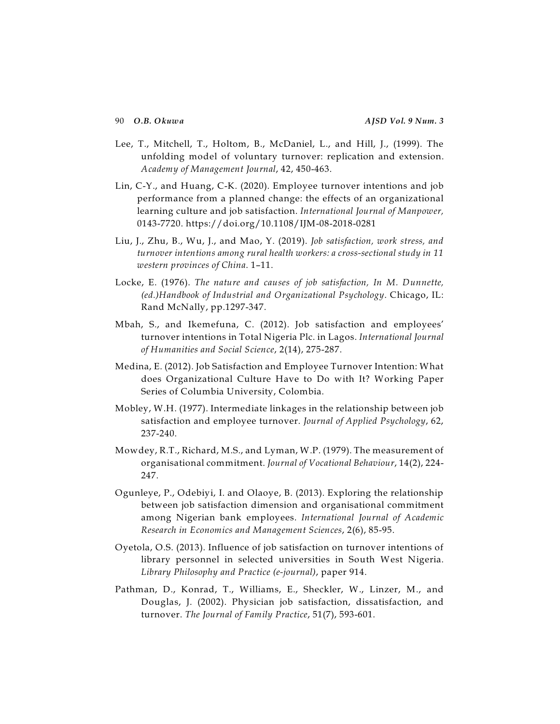- Lee, T., Mitchell, T., Holtom, B., McDaniel, L., and Hill, J., (1999). The unfolding model of voluntary turnover: replication and extension. *Academy of Management Journal*, 42, 450-463.
- Lin, C-Y., and Huang, C-K. (2020). Employee turnover intentions and job performance from a planned change: the effects of an organizational learning culture and job satisfaction. *International Journal of Manpower,* 0143-7720. https://doi.org/10.1108/IJM-08-2018-0281
- Liu, J., Zhu, B., Wu, J., and Mao, Y. (2019). *Job satisfaction, work stress, and turnover intentions among rural health workers: a cross-sectional study in 11 western provinces of China*. 1–11.
- Locke, E. (1976). *The nature and causes of job satisfaction, In M. Dunnette, (ed.)Handbook of Industrial and Organizational Psychology*. Chicago, IL: Rand McNally, pp.1297-347.
- Mbah, S., and Ikemefuna, C. (2012). Job satisfaction and employees' turnover intentions in Total Nigeria Plc. in Lagos. *International Journal of Humanities and Social Science*, 2(14), 275-287.
- Medina, E. (2012). Job Satisfaction and Employee Turnover Intention: What does Organizational Culture Have to Do with It? Working Paper Series of Columbia University, Colombia.
- Mobley, W.H. (1977). Intermediate linkages in the relationship between job satisfaction and employee turnover. *Journal of Applied Psychology*, 62, 237-240.
- Mowdey, R.T., Richard, M.S., and Lyman, W.P. (1979). The measurement of organisational commitment. *Journal of Vocational Behaviour*, 14(2), 224- 247.
- Ogunleye, P., Odebiyi, I. and Olaoye, B. (2013). Exploring the relationship between job satisfaction dimension and organisational commitment among Nigerian bank employees. *International Journal of Academic Research in Economics and Management Sciences*, 2(6), 85-95.
- Oyetola, O.S. (2013). Influence of job satisfaction on turnover intentions of library personnel in selected universities in South West Nigeria. *Library Philosophy and Practice (e-journal)*, paper 914.
- Pathman, D., Konrad, T., Williams, E., Sheckler, W., Linzer, M., and Douglas, J. (2002). Physician job satisfaction, dissatisfaction, and turnover. *The Journal of Family Practice*, 51(7), 593-601.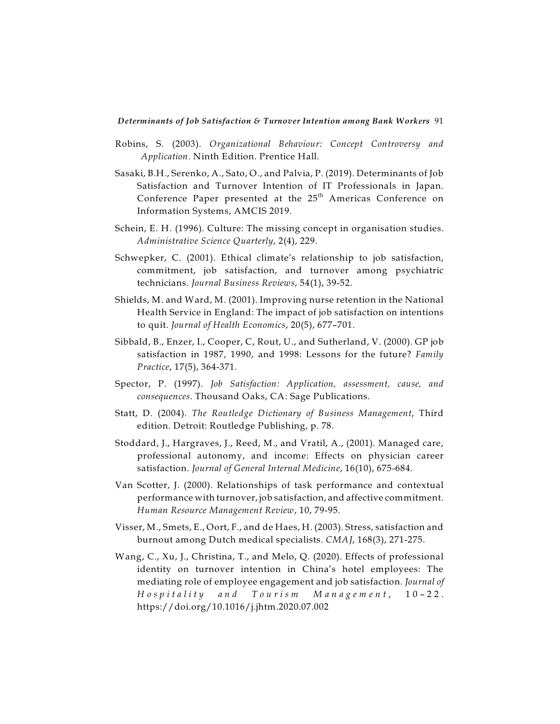- Robins, S. (2003). *Organizational Behaviour: Concept Controversy and Application*. Ninth Edition. Prentice Hall.
- Sasaki, B.H., Serenko, A., Sato, O., and Palvia, P. (2019). Determinants of Job Satisfaction and Turnover Intention of IT Professionals in Japan. Conference Paper presented at the  $25^{\rm th}$  Americas Conference on Information Systems, AMCIS 2019.
- Schein, E. H. (1996). Culture: The missing concept in organisation studies. *Administrative Science Quarterly*, 2(4), 229.
- Schwepker, C. (2001). Ethical climate's relationship to job satisfaction, commitment, job satisfaction, and turnover among psychiatric technicians. *Journal Business Reviews*, 54(1), 39-52.
- Shields, M. and Ward, M. (2001). Improving nurse retention in the National Health Service in England: The impact of job satisfaction on intentions to quit. *Journal of Health Economics*, 20(5), 677–701.
- Sibbald, B., Enzer, I., Cooper, C, Rout, U., and Sutherland, V. (2000). GP job satisfaction in 1987, 1990, and 1998: Lessons for the future? *Family Practice*, 17(5), 364-371.
- Spector, P. (1997). *Job Satisfaction: Application, assessment, cause, and consequences*. Thousand Oaks, CA: Sage Publications.
- Statt, D. (2004). *The Routledge Dictionary of Business Management*, Third edition. Detroit: Routledge Publishing, p. 78.
- Stoddard, J., Hargraves, J., Reed, M., and Vratil, A., (2001). Managed care, professional autonomy, and income: Effects on physician career satisfaction. *Journal of General Internal Medicine*, 16(10), 675-684.
- Van Scotter, J. (2000). Relationships of task performance and contextual performance with turnover, job satisfaction, and affective commitment. *Human Resource Management Review*, 10, 79-95.
- Visser, M., Smets, E., Oort, F., and de Haes, H. (2003). Stress, satisfaction and burnout among Dutch medical specialists. *CMAJ*, 168(3), 271-275.
- Wang, C., Xu, J., Christina, T., and Melo, Q. (2020). Effects of professional identity on turnover intention in China's hotel employees: The mediating role of employee engagement and job satisfaction. *Journal of* Hospitality and Tourism Management, 10-22. https://doi.org/10.1016/j.jhtm.2020.07.002